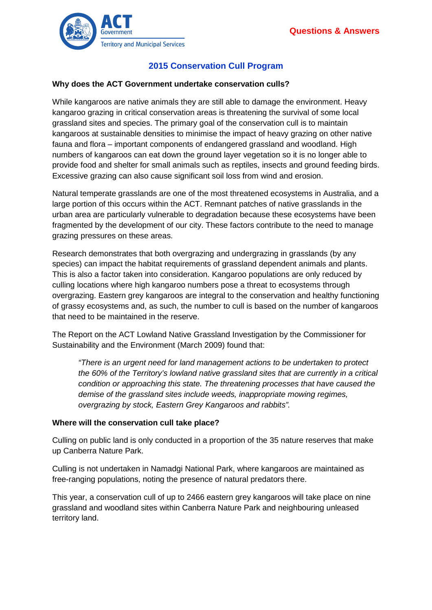

# **2015 Conservation Cull Program**

### **Why does the ACT Government undertake conservation culls?**

While kangaroos are native animals they are still able to damage the environment. Heavy kangaroo grazing in critical conservation areas is threatening the survival of some local grassland sites and species. The primary goal of the conservation cull is to maintain kangaroos at sustainable densities to minimise the impact of heavy grazing on other native fauna and flora – important components of endangered grassland and woodland. High numbers of kangaroos can eat down the ground layer vegetation so it is no longer able to provide food and shelter for small animals such as reptiles, insects and ground feeding birds. Excessive grazing can also cause significant soil loss from wind and erosion.

Natural temperate grasslands are one of the most threatened ecosystems in Australia, and a large portion of this occurs within the ACT. Remnant patches of native grasslands in the urban area are particularly vulnerable to degradation because these ecosystems have been fragmented by the development of our city. These factors contribute to the need to manage grazing pressures on these areas.

Research demonstrates that both overgrazing and undergrazing in grasslands (by any species) can impact the habitat requirements of grassland dependent animals and plants. This is also a factor taken into consideration. Kangaroo populations are only reduced by culling locations where high kangaroo numbers pose a threat to ecosystems through overgrazing. Eastern grey kangaroos are integral to the conservation and healthy functioning of grassy ecosystems and, as such, the number to cull is based on the number of kangaroos that need to be maintained in the reserve.

The Report on the ACT Lowland Native Grassland Investigation by the Commissioner for Sustainability and the Environment (March 2009) found that:

*"There is an urgent need for land management actions to be undertaken to protect the 60% of the Territory's lowland native grassland sites that are currently in a critical condition or approaching this state. The threatening processes that have caused the demise of the grassland sites include weeds, inappropriate mowing regimes, overgrazing by stock, Eastern Grey Kangaroos and rabbits".*

#### **Where will the conservation cull take place?**

Culling on public land is only conducted in a proportion of the 35 nature reserves that make up Canberra Nature Park.

Culling is not undertaken in Namadgi National Park, where kangaroos are maintained as free-ranging populations, noting the presence of natural predators there.

This year, a conservation cull of up to 2466 eastern grey kangaroos will take place on nine grassland and woodland sites within Canberra Nature Park and neighbouring unleased territory land.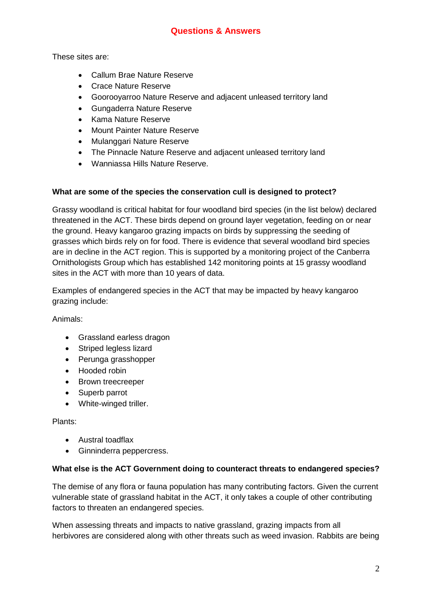These sites are:

- Callum Brae Nature Reserve
- Crace Nature Reserve
- Goorooyarroo Nature Reserve and adjacent unleased territory land
- Gungaderra Nature Reserve
- Kama Nature Reserve
- Mount Painter Nature Reserve
- Mulanggari Nature Reserve
- The Pinnacle Nature Reserve and adjacent unleased territory land
- Wanniassa Hills Nature Reserve.

## **What are some of the species the conservation cull is designed to protect?**

Grassy woodland is critical habitat for four woodland bird species (in the list below) declared threatened in the ACT. These birds depend on ground layer vegetation, feeding on or near the ground. Heavy kangaroo grazing impacts on birds by suppressing the seeding of grasses which birds rely on for food. There is evidence that several woodland bird species are in decline in the ACT region. This is supported by a monitoring project of the Canberra Ornithologists Group which has established 142 monitoring points at 15 grassy woodland sites in the ACT with more than 10 years of data.

Examples of endangered species in the ACT that may be impacted by heavy kangaroo grazing include:

Animals:

- Grassland earless dragon
- Striped legless lizard
- Perunga grasshopper
- Hooded robin
- Brown treecreeper
- Superb parrot
- White-winged triller.

Plants:

- Austral toadflax
- Ginninderra peppercress.

## **What else is the ACT Government doing to counteract threats to endangered species?**

The demise of any flora or fauna population has many contributing factors. Given the current vulnerable state of grassland habitat in the ACT, it only takes a couple of other contributing factors to threaten an endangered species.

When assessing threats and impacts to native grassland, grazing impacts from all herbivores are considered along with other threats such as weed invasion. Rabbits are being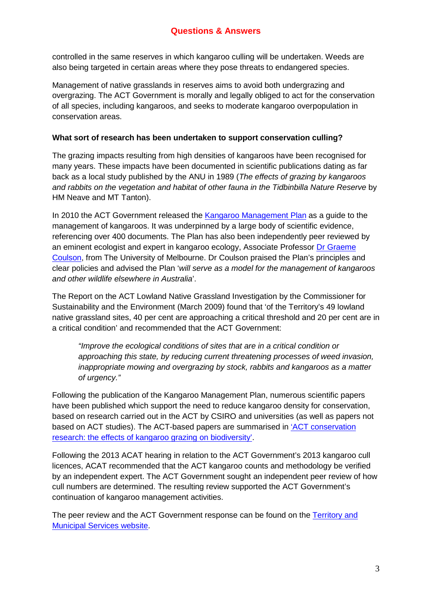## **Questions & Answers**

controlled in the same reserves in which kangaroo culling will be undertaken. Weeds are also being targeted in certain areas where they pose threats to endangered species.

Management of native grasslands in reserves aims to avoid both undergrazing and overgrazing. The ACT Government is morally and legally obliged to act for the conservation of all species, including kangaroos, and seeks to moderate kangaroo overpopulation in conservation areas.

### **What sort of research has been undertaken to support conservation culling?**

The grazing impacts resulting from high densities of kangaroos have been recognised for many years. These impacts have been documented in scientific publications dating as far back as a local study published by the ANU in 1989 (*The effects of grazing by kangaroos and rabbits on the vegetation and habitat of other fauna in the Tidbinbilla Nature Reserve* by HM Neave and MT Tanton).

In 2010 the ACT Government released the [Kangaroo Management](http://www.tams.act.gov.au/__data/assets/pdf_file/0012/394698/Kangaroo_Management_Plan_complete_for_web.pdf) Plan as a guide to the management of kangaroos. It was underpinned by a large body of scientific evidence, referencing over 400 documents. The Plan has also been independently peer reviewed by an eminent ecologist and expert in kangaroo ecology, Associate Professor Dr Graeme [Coulson,](http://www.zoology.unimelb.edu.au/staff2/profile,academic,g.coulson.html) from The University of Melbourne. Dr Coulson praised the Plan's principles and clear policies and advised the Plan '*will serve as a model for the management of kangaroos and other wildlife elsewhere in Australia*'.

The Report on the ACT Lowland Native Grassland Investigation by the Commissioner for Sustainability and the Environment (March 2009) found that 'of the Territory's 49 lowland native grassland sites, 40 per cent are approaching a critical threshold and 20 per cent are in a critical condition' and recommended that the ACT Government:

*"Improve the ecological conditions of sites that are in a critical condition or approaching this state, by reducing current threatening processes of weed invasion, inappropriate mowing and overgrazing by stock, rabbits and kangaroos as a matter of urgency."* 

Following the publication of the Kangaroo Management Plan, numerous scientific papers have been published which support the need to reduce kangaroo density for conservation, based on research carried out in the ACT by CSIRO and universities (as well as papers not based on ACT studies). The ACT-based papers are summarised in ['ACT conservation](http://www.tams.act.gov.au/__data/assets/pdf_file/0009/715356/Effects-of-kangaroo-grazing-and-biodiversity.pdf)  [research: the effects of kangaroo grazing on biodiversity'.](http://www.tams.act.gov.au/__data/assets/pdf_file/0009/715356/Effects-of-kangaroo-grazing-and-biodiversity.pdf)

Following the 2013 ACAT hearing in relation to the ACT Government's 2013 kangaroo cull licences, ACAT recommended that the ACT kangaroo counts and methodology be verified by an independent expert. The ACT Government sought an independent peer review of how cull numbers are determined. The resulting review supported the ACT Government's continuation of kangaroo management activities.

The peer review and the ACT Government response can be found on the [Territory and](http://www.tams.act.gov.au/parks-recreation/plants_and_animals/urban_wildlife/local_wildlife/kangaroos)  [Municipal Services](http://www.tams.act.gov.au/parks-recreation/plants_and_animals/urban_wildlife/local_wildlife/kangaroos) website.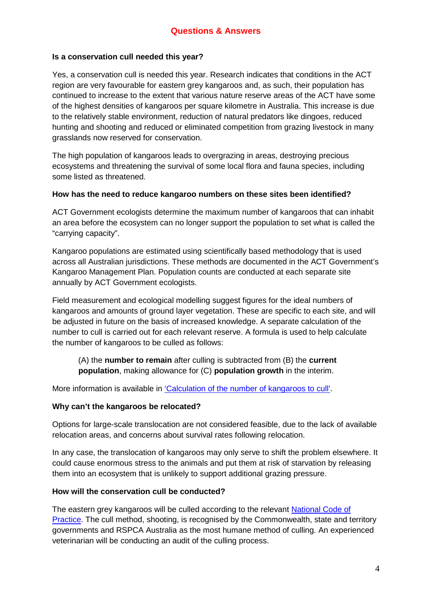## **Is a conservation cull needed this year?**

Yes, a conservation cull is needed this year. Research indicates that conditions in the ACT region are very favourable for eastern grey kangaroos and, as such, their population has continued to increase to the extent that various nature reserve areas of the ACT have some of the highest densities of kangaroos per square kilometre in Australia. This increase is due to the relatively stable environment, reduction of natural predators like dingoes, reduced hunting and shooting and reduced or eliminated competition from grazing livestock in many grasslands now reserved for conservation.

The high population of kangaroos leads to overgrazing in areas, destroying precious ecosystems and threatening the survival of some local flora and fauna species, including some listed as threatened.

## **How has the need to reduce kangaroo numbers on these sites been identified?**

ACT Government ecologists determine the maximum number of kangaroos that can inhabit an area before the ecosystem can no longer support the population to set what is called the "carrying capacity".

Kangaroo populations are estimated using scientifically based methodology that is used across all Australian jurisdictions. These methods are documented in the ACT Government's Kangaroo Management Plan. Population counts are conducted at each separate site annually by ACT Government ecologists.

Field measurement and ecological modelling suggest figures for the ideal numbers of kangaroos and amounts of ground layer vegetation. These are specific to each site, and will be adjusted in future on the basis of increased knowledge. A separate calculation of the number to cull is carried out for each relevant reserve. A formula is used to help calculate the number of kangaroos to be culled as follows:

(A) the **number to remain** after culling is subtracted from (B) the **current population**, making allowance for (C) **population growth** in the interim.

More information is available in ['Calculation of the number of kangaroos to cull'.](http://www.environment.act.gov.au/__data/assets/pdf_file/0004/576715/Calculation_of_the_number_of_kangaroos_to_cull_.pdf)

## **Why can't the kangaroos be relocated?**

Options for large-scale translocation are not considered feasible, due to the lack of available relocation areas, and concerns about survival rates following relocation.

In any case, the translocation of kangaroos may only serve to shift the problem elsewhere. It could cause enormous stress to the animals and put them at risk of starvation by releasing them into an ecosystem that is unlikely to support additional grazing pressure.

### **How will the conservation cull be conducted?**

The eastern grey kangaroos will be culled according to the relevant [National Code](http://www.environment.gov.au/resource/national-codes-practice-commercial-and-non-commercial-humane-shooting-kangaroos-and) of [Practice.](http://www.environment.gov.au/resource/national-codes-practice-commercial-and-non-commercial-humane-shooting-kangaroos-and) The cull method, shooting, is recognised by the Commonwealth, state and territory governments and RSPCA Australia as the most humane method of culling. An experienced veterinarian will be conducting an audit of the culling process.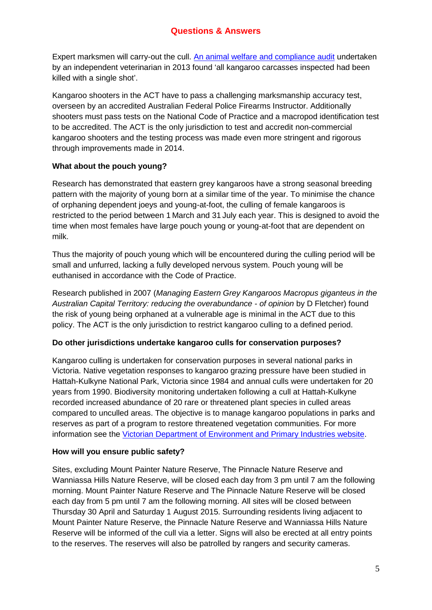# **Questions & Answers**

Expert marksmen will carry-out the cull. [An animal welfare and compliance audit](http://www.tams.act.gov.au/__data/assets/pdf_file/0003/715305/Welfare-and-compliance-audit.pdf) undertaken by an independent veterinarian in 2013 found 'all kangaroo carcasses inspected had been killed with a single shot'.

Kangaroo shooters in the ACT have to pass a challenging marksmanship accuracy test, overseen by an accredited Australian Federal Police Firearms Instructor. Additionally shooters must pass tests on the National Code of Practice and a macropod identification test to be accredited. The ACT is the only jurisdiction to test and accredit non-commercial kangaroo shooters and the testing process was made even more stringent and rigorous through improvements made in 2014.

## **What about the pouch young?**

Research has demonstrated that eastern grey kangaroos have a strong seasonal breeding pattern with the majority of young born at a similar time of the year. To minimise the chance of orphaning dependent joeys and young-at-foot, the culling of female kangaroos is restricted to the period between 1 March and 31 July each year. This is designed to avoid the time when most females have large pouch young or young-at-foot that are dependent on milk.

Thus the majority of pouch young which will be encountered during the culling period will be small and unfurred, lacking a fully developed nervous system. Pouch young will be euthanised in accordance with the Code of Practice.

Research published in 2007 (*Managing Eastern Grey Kangaroos Macropus giganteus in the Australian Capital Territory: reducing the overabundance - of opinion* by D Fletcher) found the risk of young being orphaned at a vulnerable age is minimal in the ACT due to this policy. The ACT is the only jurisdiction to restrict kangaroo culling to a defined period.

## **Do other jurisdictions undertake kangaroo culls for conservation purposes?**

Kangaroo culling is undertaken for conservation purposes in several national parks in Victoria. Native vegetation responses to kangaroo grazing pressure have been studied in Hattah-Kulkyne National Park, Victoria since 1984 and annual culls were undertaken for 20 years from 1990. Biodiversity monitoring undertaken following a cull at Hattah-Kulkyne recorded increased abundance of 20 rare or threatened plant species in culled areas compared to unculled areas. The objective is to manage kangaroo populations in parks and reserves as part of a program to restore threatened vegetation communities. For more information see the Victorian [Department of Environment](http://www.dse.vic.gov.au/) and Primary Industries website.

## **How will you ensure public safety?**

Sites, excluding Mount Painter Nature Reserve, The Pinnacle Nature Reserve and Wanniassa Hills Nature Reserve, will be closed each day from 3 pm until 7 am the following morning. Mount Painter Nature Reserve and The Pinnacle Nature Reserve will be closed each day from 5 pm until 7 am the following morning. All sites will be closed between Thursday 30 April and Saturday 1 August 2015. Surrounding residents living adjacent to Mount Painter Nature Reserve, the Pinnacle Nature Reserve and Wanniassa Hills Nature Reserve will be informed of the cull via a letter. Signs will also be erected at all entry points to the reserves. The reserves will also be patrolled by rangers and security cameras.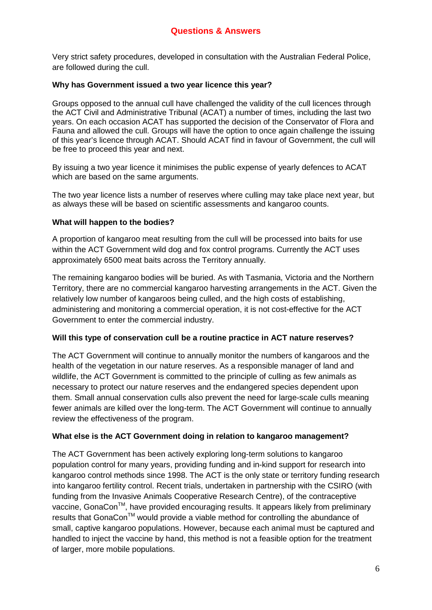Very strict safety procedures, developed in consultation with the Australian Federal Police, are followed during the cull.

## **Why has Government issued a two year licence this year?**

Groups opposed to the annual cull have challenged the validity of the cull licences through the ACT Civil and Administrative Tribunal (ACAT) a number of times, including the last two years. On each occasion ACAT has supported the decision of the Conservator of Flora and Fauna and allowed the cull. Groups will have the option to once again challenge the issuing of this year's licence through ACAT. Should ACAT find in favour of Government, the cull will be free to proceed this year and next.

By issuing a two year licence it minimises the public expense of yearly defences to ACAT which are based on the same arguments.

The two year licence lists a number of reserves where culling may take place next year, but as always these will be based on scientific assessments and kangaroo counts.

## **What will happen to the bodies?**

A proportion of kangaroo meat resulting from the cull will be processed into baits for use within the ACT Government wild dog and fox control programs. Currently the ACT uses approximately 6500 meat baits across the Territory annually.

The remaining kangaroo bodies will be buried. As with Tasmania, Victoria and the Northern Territory, there are no commercial kangaroo harvesting arrangements in the ACT. Given the relatively low number of kangaroos being culled, and the high costs of establishing, administering and monitoring a commercial operation, it is not cost-effective for the ACT Government to enter the commercial industry.

### **Will this type of conservation cull be a routine practice in ACT nature reserves?**

The ACT Government will continue to annually monitor the numbers of kangaroos and the health of the vegetation in our nature reserves. As a responsible manager of land and wildlife, the ACT Government is committed to the principle of culling as few animals as necessary to protect our nature reserves and the endangered species dependent upon them. Small annual conservation culls also prevent the need for large-scale culls meaning fewer animals are killed over the long-term. The ACT Government will continue to annually review the effectiveness of the program.

### **What else is the ACT Government doing in relation to kangaroo management?**

The ACT Government has been actively exploring long-term solutions to kangaroo population control for many years, providing funding and in-kind support for research into kangaroo control methods since 1998. The ACT is the only state or territory funding research into kangaroo fertility control. Recent trials, undertaken in partnership with the CSIRO (with funding from the Invasive Animals Cooperative Research Centre), of the contraceptive vaccine, GonaCon™, have provided encouraging results. It appears likely from preliminary results that GonaCon™ would provide a viable method for controlling the abundance of small, captive kangaroo populations. However, because each animal must be captured and handled to inject the vaccine by hand, this method is not a feasible option for the treatment of larger, more mobile populations.